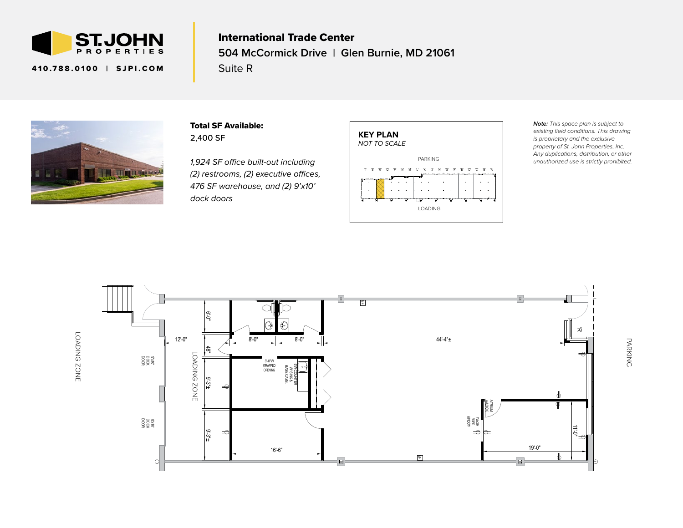

410.788.0100 | SJPI.COM

## $\epsilon$ International Trade Center **504 McCormick Drive | Glen Burnie, MD 21061** Suite R



Total SF Available: 2,400 SF

*(2) restrooms, (2) executive offices, 476 SF warehouse, and (2) 9'x10'*  $\,$ *1,924 SF office built-out including dock doors*



*Note: This space plan is subject to existing field conditions. This drawing is proprietary and the exclusive property of St. John Properties, Inc. Any duplications, distribution, or other unauthorized use is strictly prohibited.*



PARKING PARKING